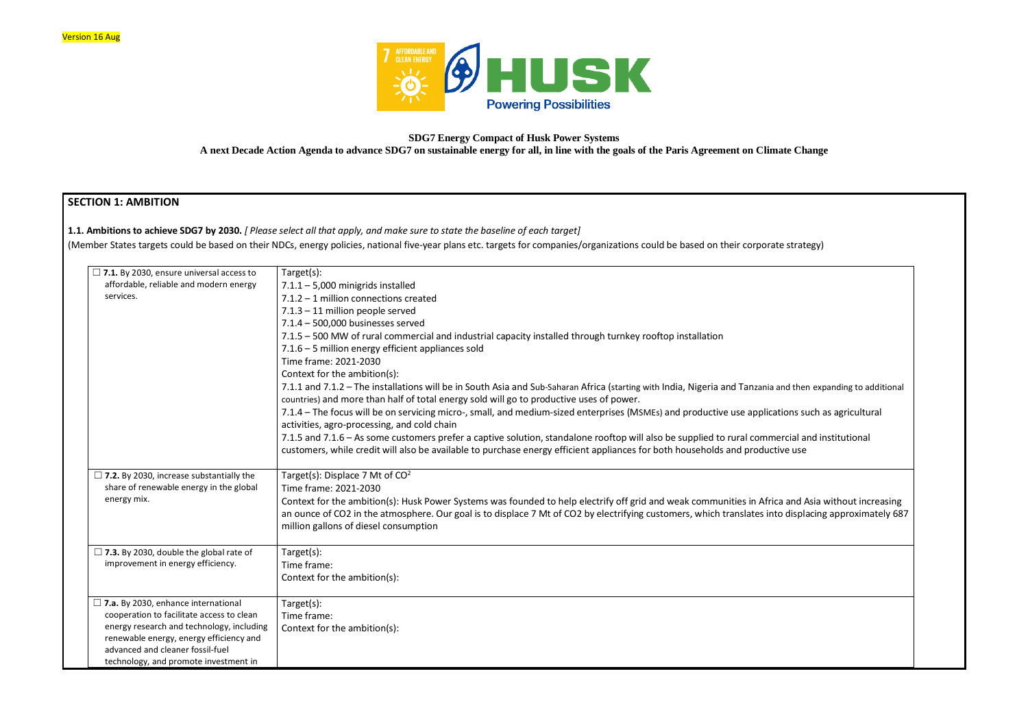

**SDG7 Energy Compact of Husk Power Systems**

**A next Decade Action Agenda to advance SDG7 on sustainable energy for all, in line with the goals of the Paris Agreement on Climate Change**

# **SECTION 1: AMBITION**

**1.1. Ambitions to achieve SDG7 by 2030.** *[ Please select all that apply, and make sure to state the baseline of each target]* 

(Member States targets could be based on their NDCs, energy policies, national five-year plans etc. targets for companies/organizations could be based on their corporate strategy)

| $\Box$ 7.1. By 2030, ensure universal access to | Target(s):                                                                                                                                                                                                                                                                                             |
|-------------------------------------------------|--------------------------------------------------------------------------------------------------------------------------------------------------------------------------------------------------------------------------------------------------------------------------------------------------------|
| affordable, reliable and modern energy          | $7.1.1 - 5,000$ minigrids installed                                                                                                                                                                                                                                                                    |
| services.                                       | 7.1.2 - 1 million connections created                                                                                                                                                                                                                                                                  |
|                                                 | $7.1.3 - 11$ million people served                                                                                                                                                                                                                                                                     |
|                                                 | 7.1.4 - 500,000 businesses served                                                                                                                                                                                                                                                                      |
|                                                 | 7.1.5 - 500 MW of rural commercial and industrial capacity installed through turnkey rooftop installation                                                                                                                                                                                              |
|                                                 | 7.1.6 - 5 million energy efficient appliances sold                                                                                                                                                                                                                                                     |
|                                                 | Time frame: 2021-2030                                                                                                                                                                                                                                                                                  |
|                                                 | Context for the ambition(s):                                                                                                                                                                                                                                                                           |
|                                                 | 7.1.1 and 7.1.2 - The installations will be in South Asia and Sub-Saharan Africa (starting with India, Nigeria and Tanzania and ther<br>countries) and more than half of total energy sold will go to productive uses of power.                                                                        |
|                                                 | 7.1.4 – The focus will be on servicing micro-, small, and medium-sized enterprises (MSMEs) and productive use applications su<br>activities, agro-processing, and cold chain                                                                                                                           |
|                                                 | 7.1.5 and 7.1.6 - As some customers prefer a captive solution, standalone rooftop will also be supplied to rural commercial are<br>customers, while credit will also be available to purchase energy efficient appliances for both households and productive use                                       |
| $\Box$ 7.2. By 2030, increase substantially the | Target(s): Displace 7 Mt of CO <sup>2</sup>                                                                                                                                                                                                                                                            |
| share of renewable energy in the global         | Time frame: 2021-2030                                                                                                                                                                                                                                                                                  |
| energy mix.                                     | Context for the ambition(s): Husk Power Systems was founded to help electrify off grid and weak communities in Africa and A<br>an ounce of CO2 in the atmosphere. Our goal is to displace 7 Mt of CO2 by electrifying customers, which translates into displa<br>million gallons of diesel consumption |
| $\Box$ 7.3. By 2030, double the global rate of  | Target(s):                                                                                                                                                                                                                                                                                             |
| improvement in energy efficiency.               | Time frame:                                                                                                                                                                                                                                                                                            |
|                                                 | Context for the ambition(s):                                                                                                                                                                                                                                                                           |
| $\Box$ 7.a. By 2030, enhance international      | Target(s):                                                                                                                                                                                                                                                                                             |
| cooperation to facilitate access to clean       | Time frame:                                                                                                                                                                                                                                                                                            |
| energy research and technology, including       | Context for the ambition(s):                                                                                                                                                                                                                                                                           |
| renewable energy, energy efficiency and         |                                                                                                                                                                                                                                                                                                        |
| advanced and cleaner fossil-fuel                |                                                                                                                                                                                                                                                                                                        |
| technology, and promote investment in           |                                                                                                                                                                                                                                                                                                        |

and then expanding to additional

tions such as agricultural

ercial and institutional

ca and Asia without increasing to displacing approximately 687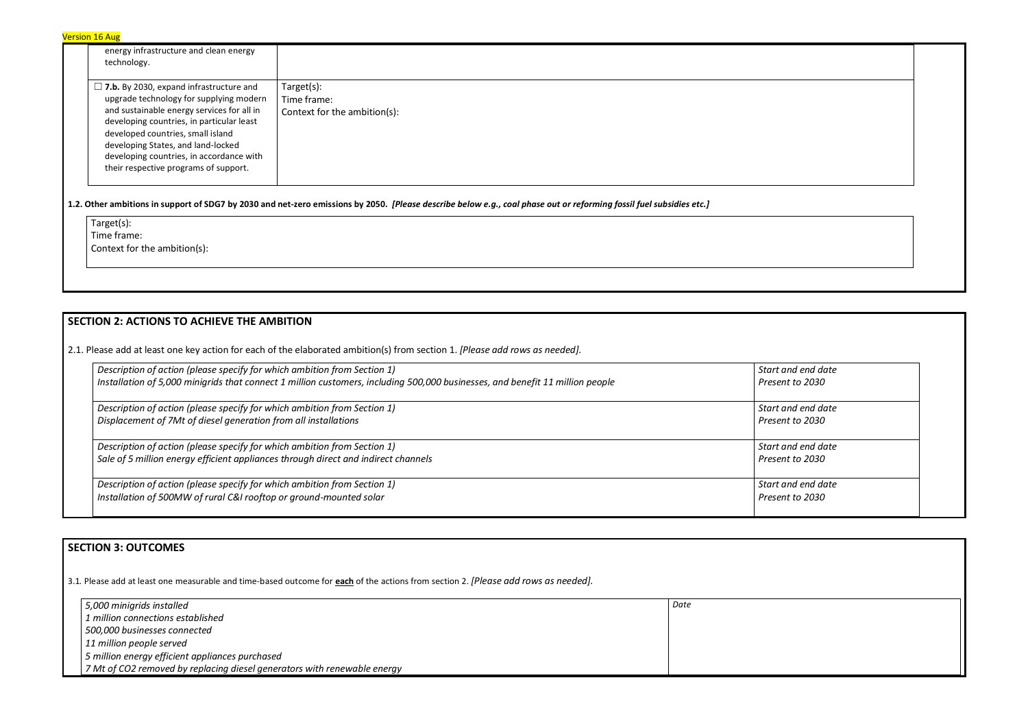| <b>Version 16 Aug</b> |  |
|-----------------------|--|
|-----------------------|--|

| energy infrastructure and clean energy<br>technology.                                                                                                                                                                                                                                                                                                |                                                           |
|------------------------------------------------------------------------------------------------------------------------------------------------------------------------------------------------------------------------------------------------------------------------------------------------------------------------------------------------------|-----------------------------------------------------------|
| $\Box$ 7.b. By 2030, expand infrastructure and<br>upgrade technology for supplying modern<br>and sustainable energy services for all in<br>developing countries, in particular least<br>developed countries, small island<br>developing States, and land-locked<br>developing countries, in accordance with<br>their respective programs of support. | Target(s):<br>Time frame:<br>Context for the ambition(s): |

**1.2. Other ambitions in support of SDG7 by 2030 and net-zero emissions by 2050.** *[Please describe below e.g., coal phase out or reforming fossil fuel subsidies etc.]*

Target(s):

Time frame:

Context for the ambition(s):

# **SECTION 2: ACTIONS TO ACHIEVE THE AMBITION**

2.1. Please add at least one key action for each of the elaborated ambition(s) from section 1. *[Please add rows as needed].*

| Description of action (please specify for which ambition from Section 1)                                                      | Start and end date |
|-------------------------------------------------------------------------------------------------------------------------------|--------------------|
| Installation of 5,000 minigrids that connect 1 million customers, including 500,000 businesses, and benefit 11 million people | Present to 2030    |
| Description of action (please specify for which ambition from Section 1)                                                      | Start and end date |
| Displacement of 7Mt of diesel generation from all installations                                                               | Present to 2030    |
| Description of action (please specify for which ambition from Section 1)                                                      | Start and end date |
| Sale of 5 million energy efficient appliances through direct and indirect channels                                            | Present to 2030    |
| Description of action (please specify for which ambition from Section 1)                                                      | Start and end date |
| Installation of 500MW of rural C&I rooftop or ground-mounted solar                                                            | Present to 2030    |

# **SECTION 3: OUTCOMES**

3.1*.* Please add at least one measurable and time-based outcome for **each** of the actions from section 2. *[Please add rows as needed].*

| 5,000 minigrids installed                                                | Date |
|--------------------------------------------------------------------------|------|
| 1 million connections established                                        |      |
| 500,000 businesses connected                                             |      |
| 11 million people served                                                 |      |
| 5 million energy efficient appliances purchased                          |      |
| 7 Mt of CO2 removed by replacing diesel generators with renewable energy |      |

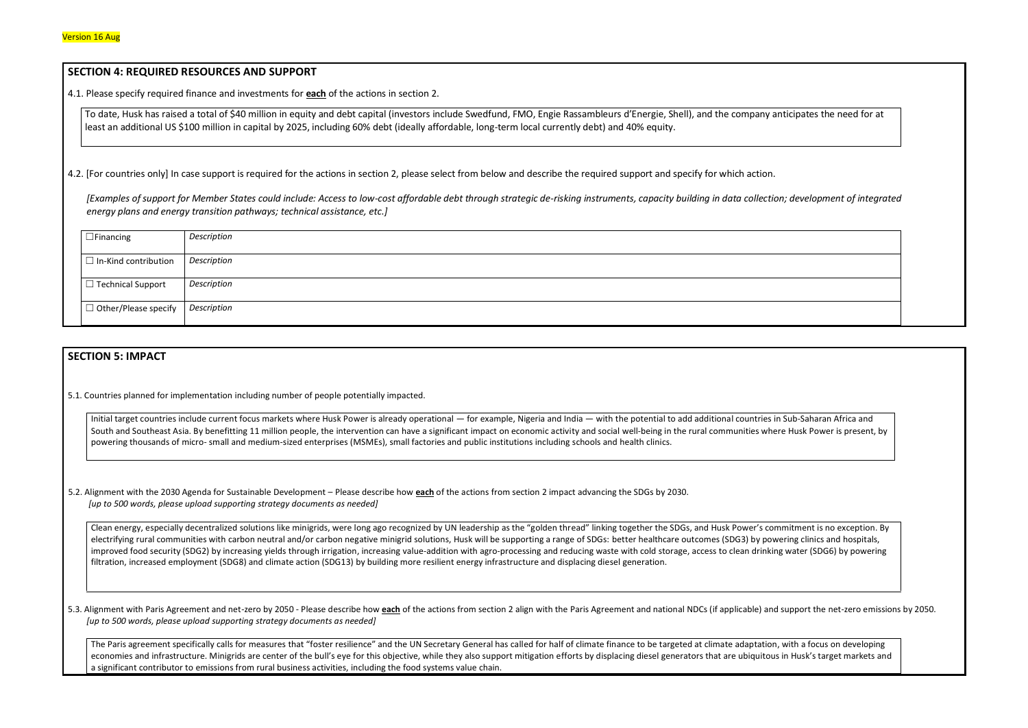### **SECTION 4: REQUIRED RESOURCES AND SUPPORT**

4.1. Please specify required finance and investments for **each** of the actions in section 2.

To date, Husk has raised a total of \$40 million in equity and debt capital (investors include Swedfund, FMO, Engie Rassambleurs d'Energie, Shell), and the company anticipates the need for at least an additional US \$100 million in capital by 2025, including 60% debt (ideally affordable, long-term local currently debt) and 40% equity.

4.2. [For countries only] In case support is required for the actions in section 2, please select from below and describe the required support and specify for which action.

*[Examples of support for Member States could include: Access to low-cost affordable debt through strategic de-risking instruments, capacity building in data collection; development of integrated energy plans and energy transition pathways; technical assistance, etc.]*

Initial target countries include current focus markets where Husk Power is already operational — for example, Nigeria and India — with the potential to add additional countries i South and Southeast Asia. By benefitting 11 million people, the intervention can have a significant impact on economic activity and social well-being in the rural communities where Husk Power is where Husk Power is present powering thousands of micro- small and medium-sized enterprises (MSMEs), small factories and public institutions including schools and health clinics.

| $\Box$ Financing                    | Description |
|-------------------------------------|-------------|
| $\vert$ $\Box$ In-Kind contribution | Description |
| $\Box$ Technical Support            | Description |
| $\Box$ Other/Please specify         | Description |

# **SECTION 5: IMPACT**

5.1. Countries planned for implementation including number of people potentially impacted.

Clean energy, especially decentralized solutions like minigrids, were long ago recognized by UN leadership as the "golden thread" linking together the SDGs, and Husk Power's con electrifying rural communities with carbon neutral and/or carbon negative minigrid solutions, Husk will be supporting a range of SDGs: better healthcare outcomes (SDG3) by pow improved food security (SDG2) by increasing yields through irrigation, increasing value-addition with agro-processing and reducing waste with cold storage, access to clean drinking filtration, increased employment (SDG8) and climate action (SDG13) by building more resilient energy infrastructure and displacing diesel generation.

5.3. Alignment with Paris Agreement and net-zero by 2050 - Please describe how each of the actions from section 2 align with the Paris Agreement and national NDCs (if applicable) and *[up to 500 words, please upload supporting strategy documents as needed]* 

The Paris agreement specifically calls for measures that "foster resilience" and the UN Secretary General has called for half of climate finance to be targeted at climate adaptation economies and infrastructure. Minigrids are center of the bull's eye for this objective, while they also support mitigation efforts by displacing diesel generators that are ubiquitou a significant contributor to emissions from rural business activities, including the food systems value chain.



| n Sub-Saharan Africa and                                                                     |  |
|----------------------------------------------------------------------------------------------|--|
| re Husk Power is present, by                                                                 |  |
|                                                                                              |  |
|                                                                                              |  |
| mmitment is no exception. By<br>vering clinics and hospitals,<br>ng water (SDG6) by powering |  |
| d support the net-zero emissions by 2050.                                                    |  |
| , with a focus on developing<br>s in Husk's target markets and                               |  |

5.2. Alignment with the 2030 Agenda for Sustainable Development – Please describe how **each** of the actions from section 2 impact advancing the SDGs by 2030. *[up to 500 words, please upload supporting strategy documents as needed]*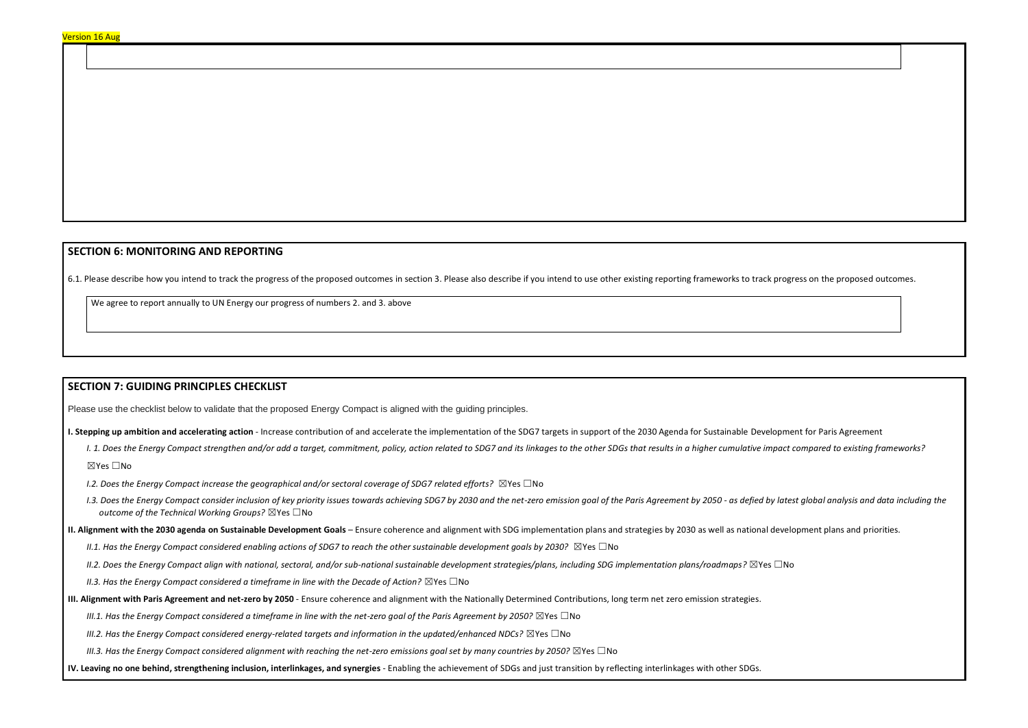## **SECTION 6: MONITORING AND REPORTING**

6.1. Please describe how you intend to track the progress of the proposed outcomes in section 3. Please also describe if you intend to use other existing reporting frameworks to track progress on the proposed outcomes.

We agree to report annually to UN Energy our progress of numbers 2. and 3. above

### **SECTION 7: GUIDING PRINCIPLES CHECKLIST**

Please use the checklist below to validate that the proposed Energy Compact is aligned with the guiding principles.

- **I. Stepping up ambition and accelerating action** Increase contribution of and accelerate the implementation of the SDG7 targets in support of the 2030 Agenda for Sustainable Development for Paris Agreement
	- I. 1. Does the Energy Compact strengthen and/or add a target, commitment, policy, action related to SDG7 and its linkages to the other SDGs that results in a higher cumulative impact compared to existing frameworks? ☒Yes ☐No
	- *I.2. Does the Energy Compact increase the geographical and/or sectoral coverage of SDG7 related efforts?* ⊠Yes □No
	- I.3. Does the Energy Compact consider inclusion of key priority issues towards achieving SDG7 by 2030 and the net-zero emission goal of the Paris Agreement by 2050 as defied by latest global analysis and data including t *outcome of the Technical Working Groups?* ☒Yes ☐No
- **II. Alignment with the 2030 agenda on Sustainable Development Goals** Ensure coherence and alignment with SDG implementation plans and strategies by 2030 as well as national development plans and priorities.
	- *II.1. Has the Energy Compact considered enabling actions of SDG7 to reach the other sustainable development goals by 2030?* ⊠Yes □No
	- *II.2. Does the Energy Compact align with national, sectoral, and/or sub-national sustainable development strategies/plans, including SDG implementation plans/roadmaps?* ☒Yes ☐No
	- *II.3. Has the Energy Compact considered a timeframe in line with the Decade of Action?* ⊠Yes □No
- **III. Alignment with Paris Agreement and net-zero by 2050** Ensure coherence and alignment with the Nationally Determined Contributions, long term net zero emission strategies.
	- *III.1. Has the Energy Compact considered a timeframe in line with the net-zero goal of the Paris Agreement by 2050?* ⊠Yes □No
	- *III.2. Has the Energy Compact considered energy-related targets and information in the updated/enhanced NDCs?* ⊠Yes □No
	- *III.3. Has the Energy Compact considered alignment with reaching the net-zero emissions goal set by many countries by 2050?* ⊠Yes □No
- **IV. Leaving no one behind, strengthening inclusion, interlinkages, and synergies** Enabling the achievement of SDGs and just transition by reflecting interlinkages with other SDGs.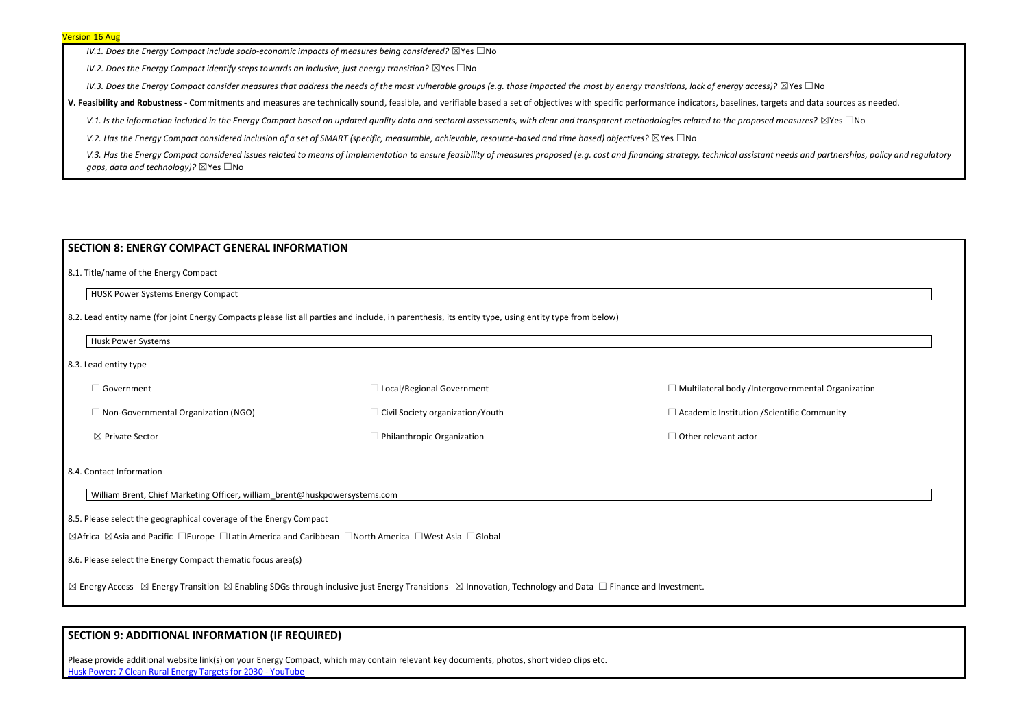*IV.1. Does the Energy Compact include socio-economic impacts of measures being considered?* ⊠Yes □No

*IV.2. Does the Energy Compact identify steps towards an inclusive, just energy transition?* ⊠Yes □No

*IV.3. Does the Energy Compact consider measures that address the needs of the most vulnerable groups (e.g. those impacted the most by energy transitions, lack of energy access)?* ⊠Yes □No

**V. Feasibility and Robustness -** Commitments and measures are technically sound, feasible, and verifiable based a set of objectives with specific performance indicators, baselines, targets and data sources as needed.

V.1. Is the information included in the Energy Compact based on updated quality data and sectoral assessments, with clear and transparent methodologies related to the proposed measures? ⊠Yes □No

*V.2. Has the Energy Compact considered inclusion of a set of SMART (specific, measurable, achievable, resource-based and time based) objectives?* ⊠Yes □No

V.3. Has the Energy Compact considered issues related to means of implementation to ensure feasibility of measures proposed (e.g. cost and financing strategy, technical assistant needs and partnerships, policy and regulato *gaps, data and technology)?* ⊠Yes □No

| $\Box$ Government                          | $\Box$ Local/Regional Government        | $\Box$ Multilateral body /Intergovernmental Organization |
|--------------------------------------------|-----------------------------------------|----------------------------------------------------------|
| $\Box$ Non-Governmental Organization (NGO) | $\Box$ Civil Society organization/Youth | $\Box$ Academic Institution / Scientific Community       |
| $\boxtimes$ Private Sector                 | $\Box$ Philanthropic Organization       | $\Box$ Other relevant actor                              |

### **SECTION 8: ENERGY COMPACT GENERAL INFORMATION**

8.1. Title/name of the Energy Compact

HUSK Power Systems Energy Compact

8.2. Lead entity name (for joint Energy Compacts please list all parties and include, in parenthesis, its entity type, using entity type from below)

Husk Power Systems

8.3. Lead entity type

8.4. Contact Information

William Brent, Chief Marketing Officer, william\_brent@huskpowersystems.com

8.5. Please select the geographical coverage of the Energy Compact

☒Africa ☒Asia and Pacific ☐Europe ☐Latin America and Caribbean ☐North America ☐West Asia ☐Global

8.6. Please select the Energy Compact thematic focus area(s)

⊠ Energy Access ⊠ Energy Transition ⊠ Enabling SDGs through inclusive just Energy Transitions ⊠ Innovation, Technology and Data □ Finance and Investment.

# **SECTION 9: ADDITIONAL INFORMATION (IF REQUIRED)**

Please provide additional website link(s) on your Energy Compact, which may contain relevant key documents, photos, short video clips etc. [Husk Power: 7 Clean Rural Energy Targets for 2030 -](https://www.youtube.com/watch?v=nqe36pdwGZ4&t=754s) YouTube

| overnmental Organization<br>entific Community |  |
|-----------------------------------------------|--|
|                                               |  |
|                                               |  |
|                                               |  |
|                                               |  |
|                                               |  |
|                                               |  |
|                                               |  |